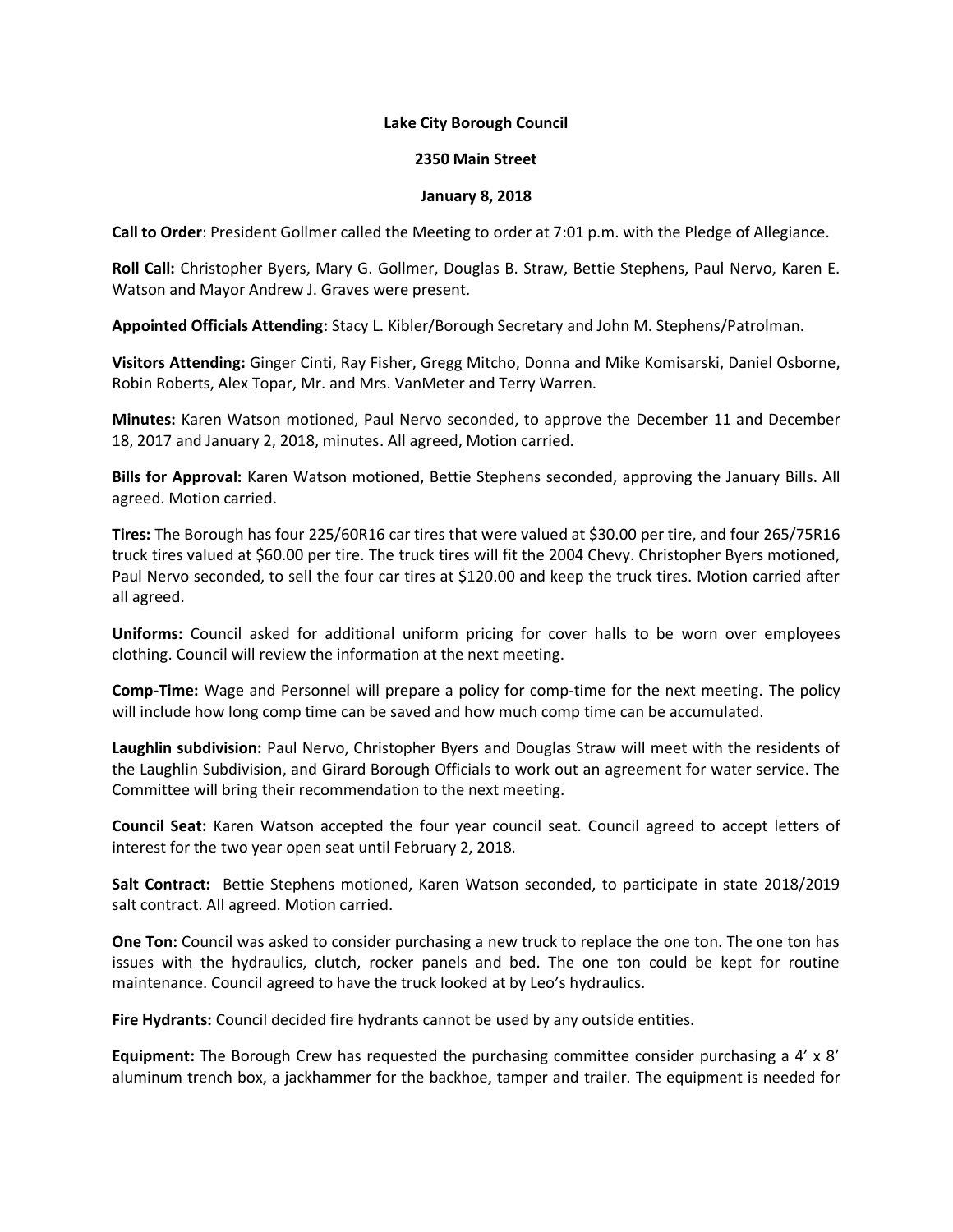## **Lake City Borough Council**

## **2350 Main Street**

## **January 8, 2018**

**Call to Order**: President Gollmer called the Meeting to order at 7:01 p.m. with the Pledge of Allegiance.

**Roll Call:** Christopher Byers, Mary G. Gollmer, Douglas B. Straw, Bettie Stephens, Paul Nervo, Karen E. Watson and Mayor Andrew J. Graves were present.

**Appointed Officials Attending:** Stacy L. Kibler/Borough Secretary and John M. Stephens/Patrolman.

**Visitors Attending:** Ginger Cinti, Ray Fisher, Gregg Mitcho, Donna and Mike Komisarski, Daniel Osborne, Robin Roberts, Alex Topar, Mr. and Mrs. VanMeter and Terry Warren.

**Minutes:** Karen Watson motioned, Paul Nervo seconded, to approve the December 11 and December 18, 2017 and January 2, 2018, minutes. All agreed, Motion carried.

**Bills for Approval:** Karen Watson motioned, Bettie Stephens seconded, approving the January Bills. All agreed. Motion carried.

**Tires:** The Borough has four 225/60R16 car tires that were valued at \$30.00 per tire, and four 265/75R16 truck tires valued at \$60.00 per tire. The truck tires will fit the 2004 Chevy. Christopher Byers motioned, Paul Nervo seconded, to sell the four car tires at \$120.00 and keep the truck tires. Motion carried after all agreed.

**Uniforms:** Council asked for additional uniform pricing for cover halls to be worn over employees clothing. Council will review the information at the next meeting.

**Comp-Time:** Wage and Personnel will prepare a policy for comp-time for the next meeting. The policy will include how long comp time can be saved and how much comp time can be accumulated.

**Laughlin subdivision:** Paul Nervo, Christopher Byers and Douglas Straw will meet with the residents of the Laughlin Subdivision, and Girard Borough Officials to work out an agreement for water service. The Committee will bring their recommendation to the next meeting.

**Council Seat:** Karen Watson accepted the four year council seat. Council agreed to accept letters of interest for the two year open seat until February 2, 2018.

**Salt Contract:** Bettie Stephens motioned, Karen Watson seconded, to participate in state 2018/2019 salt contract. All agreed. Motion carried.

**One Ton:** Council was asked to consider purchasing a new truck to replace the one ton. The one ton has issues with the hydraulics, clutch, rocker panels and bed. The one ton could be kept for routine maintenance. Council agreed to have the truck looked at by Leo's hydraulics.

**Fire Hydrants:** Council decided fire hydrants cannot be used by any outside entities.

**Equipment:** The Borough Crew has requested the purchasing committee consider purchasing a 4' x 8' aluminum trench box, a jackhammer for the backhoe, tamper and trailer. The equipment is needed for